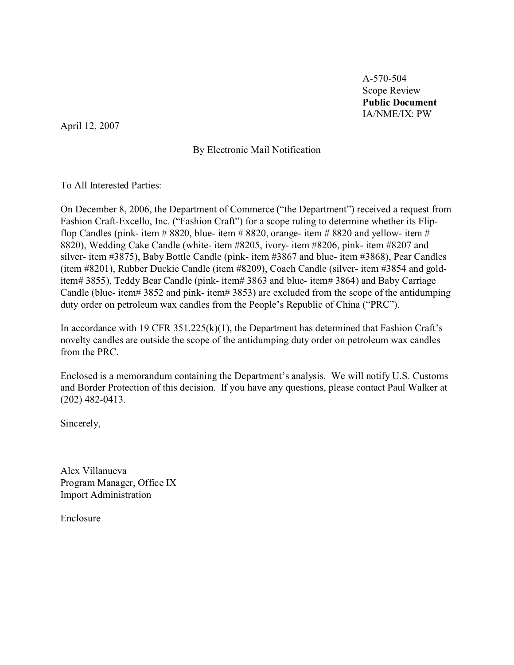A-570-504 Scope Review **Public Document** IA/NME/IX: PW

April 12, 2007

By Electronic Mail Notification

To All Interested Parties:

On December 8, 2006, the Department of Commerce ("the Department") received a request from Fashion Craft-Excello, Inc. ("Fashion Craft") for a scope ruling to determine whether its Flipflop Candles (pink- item  $\# 8820$ , blue- item  $\# 8820$ , orange- item  $\# 8820$  and yellow- item  $\#$ 8820), Wedding Cake Candle (white- item #8205, ivory- item #8206, pink- item #8207 and silver- item #3875), Baby Bottle Candle (pink- item #3867 and blue- item #3868), Pear Candles (item #8201), Rubber Duckie Candle (item #8209), Coach Candle (silver- item #3854 and golditem# 3855), Teddy Bear Candle (pink- item# 3863 and blue- item# 3864) and Baby Carriage Candle (blue- item# 3852 and pink- item# 3853) are excluded from the scope of the antidumping duty order on petroleum wax candles from the People's Republic of China ("PRC").

In accordance with 19 CFR  $351.225(k)(1)$ , the Department has determined that Fashion Craft's novelty candles are outside the scope of the antidumping duty order on petroleum wax candles from the PRC.

Enclosed is a memorandum containing the Department's analysis. We will notify U.S. Customs and Border Protection of this decision. If you have any questions, please contact Paul Walker at (202) 482-0413.

Sincerely,

Alex Villanueva Program Manager, Office IX Import Administration

Enclosure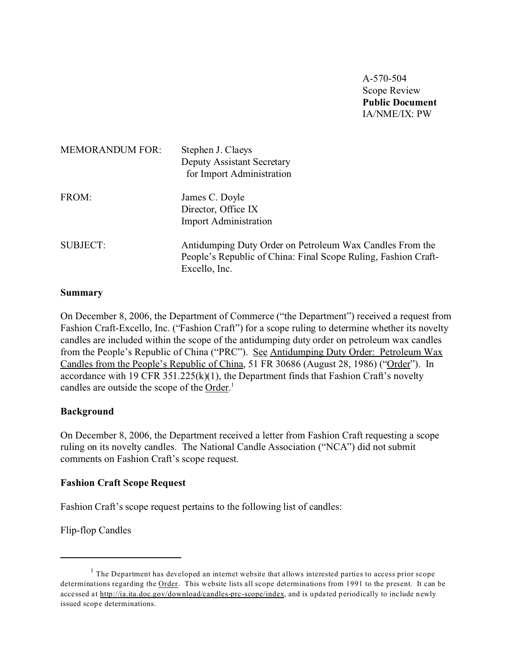A-570-504 Scope Review **Public Document** IA/NME/IX: PW

| <b>MEMORANDUM FOR:</b> | Stephen J. Claeys<br><b>Deputy Assistant Secretary</b><br>for Import Administration                                                         |
|------------------------|---------------------------------------------------------------------------------------------------------------------------------------------|
| FROM:                  | James C. Doyle<br>Director, Office IX<br><b>Import Administration</b>                                                                       |
| <b>SUBJECT:</b>        | Antidumping Duty Order on Petroleum Wax Candles From the<br>People's Republic of China: Final Scope Ruling, Fashion Craft-<br>Excello, Inc. |

#### **Summary**

On December 8, 2006, the Department of Commerce ("the Department") received a request from Fashion Craft-Excello, Inc. ("Fashion Craft") for a scope ruling to determine whether its novelty candles are included within the scope of the antidumping duty order on petroleum wax candles from the People's Republic of China ("PRC"). See Antidumping Duty Order: Petroleum Wax Candles from the People's Republic of China, 51 FR 30686 (August 28, 1986) ("Order"). In accordance with 19 CFR  $351.225(k)(1)$ , the Department finds that Fashion Craft's novelty candles are outside the scope of the Order.<sup>1</sup>

#### **Background**

On December 8, 2006, the Department received a letter from Fashion Craft requesting a scope ruling on its novelty candles. The National Candle Association ("NCA") did not submit comments on Fashion Craft's scope request.

#### **Fashion Craft Scope Request**

Fashion Craft's scope request pertains to the following list of candles:

Flip-flop Candles

 $<sup>1</sup>$  The Department has developed an internet website that allows interested parties to access prior scope</sup> determinations regarding the Order. This website lists all scope determinations from 1991 to the present. It can be accessed at [http://ia.ita.doc.gov/download/candles-prc-scope/index,](http://ia.ita.doc.gov/download/candles-prc-scope/,) and is updated periodically to include newly issued scope determinations.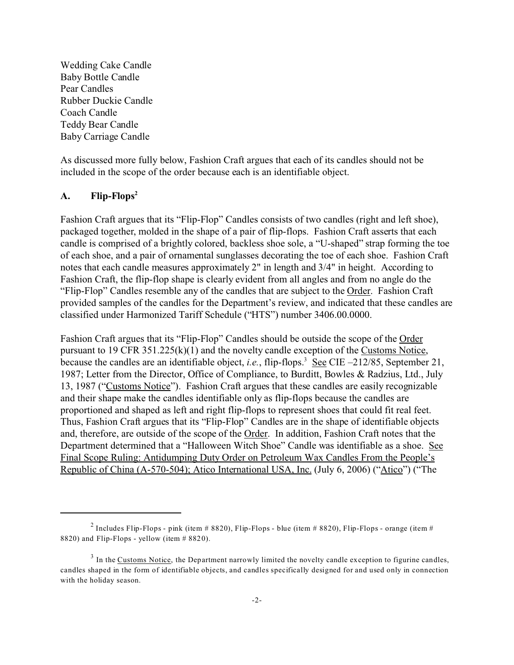Wedding Cake Candle Baby Bottle Candle Pear Candles Rubber Duckie Candle Coach Candle Teddy Bear Candle Baby Carriage Candle

As discussed more fully below, Fashion Craft argues that each of its candles should not be included in the scope of the order because each is an identifiable object.

### **A. Flip-Flops<sup>2</sup>**

Fashion Craft argues that its "Flip-Flop" Candles consists of two candles (right and left shoe), packaged together, molded in the shape of a pair of flip-flops. Fashion Craft asserts that each candle is comprised of a brightly colored, backless shoe sole, a "U-shaped" strap forming the toe of each shoe, and a pair of ornamental sunglasses decorating the toe of each shoe. Fashion Craft notes that each candle measures approximately 2" in length and 3/4" in height. According to Fashion Craft, the flip-flop shape is clearly evident from all angles and from no angle do the "Flip-Flop" Candles resemble any of the candles that are subject to the Order. Fashion Craft provided samples of the candles for the Department's review, and indicated that these candles are classified under Harmonized Tariff Schedule ("HTS") number 3406.00.0000.

Fashion Craft argues that its "Flip-Flop" Candles should be outside the scope of the Order pursuant to 19 CFR 351.225(k)(1) and the novelty candle exception of the Customs Notice, because the candles are an identifiable object, *i.e.*, flip-flops.<sup>3</sup> See CIE -212/85, September 21, 1987; Letter from the Director, Office of Compliance, to Burditt, Bowles & Radzius, Ltd., July 13, 1987 ("Customs Notice"). Fashion Craft argues that these candles are easily recognizable and their shape make the candles identifiable only as flip-flops because the candles are proportioned and shaped as left and right flip-flops to represent shoes that could fit real feet. Thus, Fashion Craft argues that its "Flip-Flop" Candles are in the shape of identifiable objects and, therefore, are outside of the scope of the Order. In addition, Fashion Craft notes that the Department determined that a "Halloween Witch Shoe" Candle was identifiable as a shoe. See Final Scope Ruling: Antidumping Duty Order on Petroleum Wax Candles From the People's Republic of China (A-570-504); Atico International USA, Inc. (July 6, 2006) ("Atico") ("The

 $^2$  Includes Flip-Flops - pink (item # 8820), Flip-Flops - blue (item # 8820), Flip-Flops - orange (item # 8820) and Flip-Flops - yellow (item  $# 8820$ ).

 $3$  In the Customs Notice, the Department narrowly limited the novelty candle exception to figurine candles, candles shaped in the form of identifiable objects, and candles specifically designed for and used only in connection with the holiday season.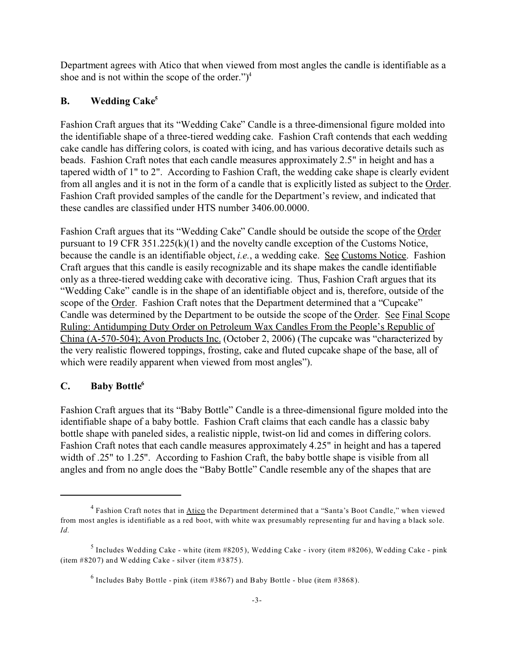Department agrees with Atico that when viewed from most angles the candle is identifiable as a shoe and is not within the scope of the order." $)^4$ 

## **B. Wedding Cake<sup>5</sup>**

Fashion Craft argues that its "Wedding Cake" Candle is a three-dimensional figure molded into the identifiable shape of a three-tiered wedding cake. Fashion Craft contends that each wedding cake candle has differing colors, is coated with icing, and has various decorative details such as beads. Fashion Craft notes that each candle measures approximately 2.5" in height and has a tapered width of 1" to 2". According to Fashion Craft, the wedding cake shape is clearly evident from all angles and it is not in the form of a candle that is explicitly listed as subject to the Order. Fashion Craft provided samples of the candle for the Department's review, and indicated that these candles are classified under HTS number 3406.00.0000.

Fashion Craft argues that its "Wedding Cake" Candle should be outside the scope of the Order pursuant to 19 CFR 351.225(k)(1) and the novelty candle exception of the Customs Notice, because the candle is an identifiable object, *i.e.*, a wedding cake. See Customs Notice. Fashion Craft argues that this candle is easily recognizable and its shape makes the candle identifiable only as a three-tiered wedding cake with decorative icing. Thus, Fashion Craft argues that its "Wedding Cake" candle is in the shape of an identifiable object and is, therefore, outside of the scope of the Order. Fashion Craft notes that the Department determined that a "Cupcake" Candle was determined by the Department to be outside the scope of the Order. See Final Scope Ruling: Antidumping Duty Order on Petroleum Wax Candles From the People's Republic of China (A-570-504); Avon Products Inc. (October 2, 2006) (The cupcake was "characterized by the very realistic flowered toppings, frosting, cake and fluted cupcake shape of the base, all of which were readily apparent when viewed from most angles").

### **C. Baby Bottle<sup>6</sup>**

Fashion Craft argues that its "Baby Bottle" Candle is a three-dimensional figure molded into the identifiable shape of a baby bottle. Fashion Craft claims that each candle has a classic baby bottle shape with paneled sides, a realistic nipple, twist-on lid and comes in differing colors. Fashion Craft notes that each candle measures approximately 4.25" in height and has a tapered width of .25" to 1.25". According to Fashion Craft, the baby bottle shape is visible from all angles and from no angle does the "Baby Bottle" Candle resemble any of the shapes that are

<sup>&</sup>lt;sup>4</sup> Fashion Craft notes that in Atico the Department determined that a "Santa's Boot Candle," when viewed from most angles is identifiable as a red boot, with white wax presumably representing fur and having a black sole. *Id.*

 $^5$  Includes Wedding Cake - white (item #8205), Wedding Cake - ivory (item #8206), Wedding Cake - pink (item #8207) and Wedding Cake - silver (item #3875).

 $^6$  Includes Baby Bottle - pink (item #3867) and Baby Bottle - blue (item #3868).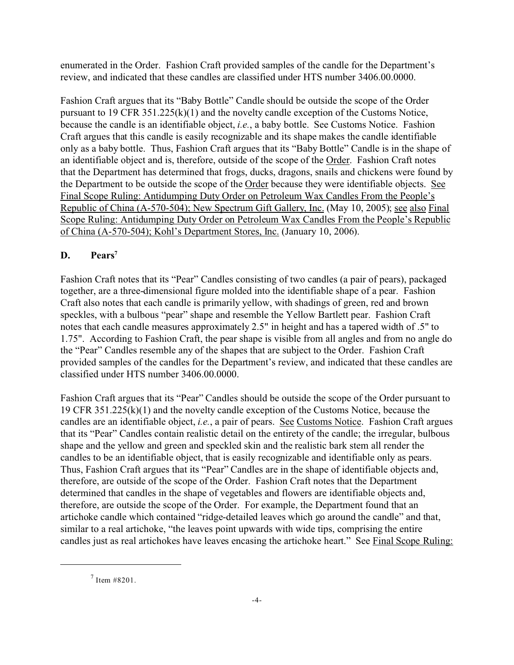enumerated in the Order. Fashion Craft provided samples of the candle for the Department's review, and indicated that these candles are classified under HTS number 3406.00.0000.

Fashion Craft argues that its "Baby Bottle" Candle should be outside the scope of the Order pursuant to 19 CFR 351.225(k)(1) and the novelty candle exception of the Customs Notice, because the candle is an identifiable object, *i.e.*, a baby bottle. See Customs Notice. Fashion Craft argues that this candle is easily recognizable and its shape makes the candle identifiable only as a baby bottle. Thus, Fashion Craft argues that its "Baby Bottle" Candle is in the shape of an identifiable object and is, therefore, outside of the scope of the Order. Fashion Craft notes that the Department has determined that frogs, ducks, dragons, snails and chickens were found by the Department to be outside the scope of the Order because they were identifiable objects. See Final Scope Ruling: Antidumping Duty Order on Petroleum Wax Candles From the People's Republic of China (A-570-504); New Spectrum Gift Gallery, Inc. (May 10, 2005); see also Final Scope Ruling: Antidumping Duty Order on Petroleum Wax Candles From the People's Republic of China (A-570-504); Kohl's Department Stores, Inc. (January 10, 2006).

## **D. Pears<sup>7</sup>**

Fashion Craft notes that its "Pear" Candles consisting of two candles (a pair of pears), packaged together, are a three-dimensional figure molded into the identifiable shape of a pear. Fashion Craft also notes that each candle is primarily yellow, with shadings of green, red and brown speckles, with a bulbous "pear" shape and resemble the Yellow Bartlett pear. Fashion Craft notes that each candle measures approximately 2.5" in height and has a tapered width of .5" to 1.75". According to Fashion Craft, the pear shape is visible from all angles and from no angle do the "Pear" Candles resemble any of the shapes that are subject to the Order. Fashion Craft provided samples of the candles for the Department's review, and indicated that these candles are classified under HTS number 3406.00.0000.

Fashion Craft argues that its "Pear" Candles should be outside the scope of the Order pursuant to 19 CFR 351.225(k)(1) and the novelty candle exception of the Customs Notice, because the candles are an identifiable object, *i.e.*, a pair of pears. See Customs Notice. Fashion Craft argues that its "Pear" Candles contain realistic detail on the entirety of the candle; the irregular, bulbous shape and the yellow and green and speckled skin and the realistic bark stem all render the candles to be an identifiable object, that is easily recognizable and identifiable only as pears. Thus, Fashion Craft argues that its "Pear" Candles are in the shape of identifiable objects and, therefore, are outside of the scope of the Order. Fashion Craft notes that the Department determined that candles in the shape of vegetables and flowers are identifiable objects and, therefore, are outside the scope of the Order. For example, the Department found that an artichoke candle which contained "ridge-detailed leaves which go around the candle" and that, similar to a real artichoke, "the leaves point upwards with wide tips, comprising the entire candles just as real artichokes have leaves encasing the artichoke heart." See Final Scope Ruling:

 $7$  Item #8201.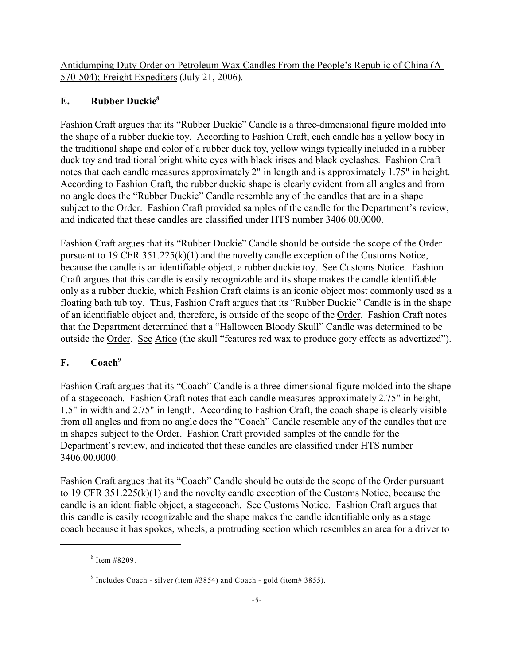Antidumping Duty Order on Petroleum Wax Candles From the People's Republic of China (A-570-504); Freight Expediters (July 21, 2006).

## **E. Rubber Duckie<sup>8</sup>**

Fashion Craft argues that its "Rubber Duckie" Candle is a three-dimensional figure molded into the shape of a rubber duckie toy. According to Fashion Craft, each candle has a yellow body in the traditional shape and color of a rubber duck toy, yellow wings typically included in a rubber duck toy and traditional bright white eyes with black irises and black eyelashes. Fashion Craft notes that each candle measures approximately 2" in length and is approximately 1.75" in height. According to Fashion Craft, the rubber duckie shape is clearly evident from all angles and from no angle does the "Rubber Duckie" Candle resemble any of the candles that are in a shape subject to the Order. Fashion Craft provided samples of the candle for the Department's review, and indicated that these candles are classified under HTS number 3406.00.0000.

Fashion Craft argues that its "Rubber Duckie" Candle should be outside the scope of the Order pursuant to 19 CFR 351.225(k)(1) and the novelty candle exception of the Customs Notice, because the candle is an identifiable object, a rubber duckie toy. See Customs Notice. Fashion Craft argues that this candle is easily recognizable and its shape makes the candle identifiable only as a rubber duckie, which Fashion Craft claims is an iconic object most commonly used as a floating bath tub toy. Thus, Fashion Craft argues that its "Rubber Duckie" Candle is in the shape of an identifiable object and, therefore, is outside of the scope of the Order. Fashion Craft notes that the Department determined that a "Halloween Bloody Skull" Candle was determined to be outside the Order. See Atico (the skull "features red wax to produce gory effects as advertized").

# **F. Coach<sup>9</sup>**

Fashion Craft argues that its "Coach" Candle is a three-dimensional figure molded into the shape of a stagecoach. Fashion Craft notes that each candle measures approximately 2.75" in height, 1.5" in width and 2.75" in length. According to Fashion Craft, the coach shape is clearly visible from all angles and from no angle does the "Coach" Candle resemble any of the candles that are in shapes subject to the Order. Fashion Craft provided samples of the candle for the Department's review, and indicated that these candles are classified under HTS number 3406.00.0000.

Fashion Craft argues that its "Coach" Candle should be outside the scope of the Order pursuant to 19 CFR 351.225(k)(1) and the novelty candle exception of the Customs Notice, because the candle is an identifiable object, a stagecoach. See Customs Notice. Fashion Craft argues that this candle is easily recognizable and the shape makes the candle identifiable only as a stage coach because it has spokes, wheels, a protruding section which resembles an area for a driver to

<sup>8</sup> Item #8209.

 $^9$  Includes Coach - silver (item #3854) and Coach - gold (item#3855).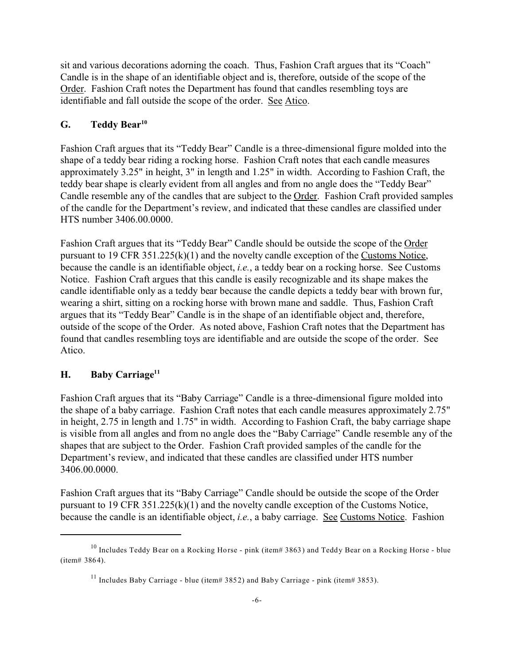sit and various decorations adorning the coach. Thus, Fashion Craft argues that its "Coach" Candle is in the shape of an identifiable object and is, therefore, outside of the scope of the Order. Fashion Craft notes the Department has found that candles resembling toys are identifiable and fall outside the scope of the order. See Atico.

## **G. Teddy Bear<sup>10</sup>**

Fashion Craft argues that its "Teddy Bear" Candle is a three-dimensional figure molded into the shape of a teddy bear riding a rocking horse. Fashion Craft notes that each candle measures approximately 3.25" in height, 3" in length and 1.25" in width. According to Fashion Craft, the teddy bear shape is clearly evident from all angles and from no angle does the "Teddy Bear" Candle resemble any of the candles that are subject to the Order. Fashion Craft provided samples of the candle for the Department's review, and indicated that these candles are classified under HTS number 3406.00.0000.

Fashion Craft argues that its "Teddy Bear" Candle should be outside the scope of the Order pursuant to 19 CFR 351.225(k)(1) and the novelty candle exception of the Customs Notice, because the candle is an identifiable object, *i.e.*, a teddy bear on a rocking horse. See Customs Notice. Fashion Craft argues that this candle is easily recognizable and its shape makes the candle identifiable only as a teddy bear because the candle depicts a teddy bear with brown fur, wearing a shirt, sitting on a rocking horse with brown mane and saddle. Thus, Fashion Craft argues that its "Teddy Bear" Candle is in the shape of an identifiable object and, therefore, outside of the scope of the Order. As noted above, Fashion Craft notes that the Department has found that candles resembling toys are identifiable and are outside the scope of the order. See Atico.

### **H. Baby Carriage<sup>11</sup>**

Fashion Craft argues that its "Baby Carriage" Candle is a three-dimensional figure molded into the shape of a baby carriage. Fashion Craft notes that each candle measures approximately 2.75" in height, 2.75 in length and 1.75" in width. According to Fashion Craft, the baby carriage shape is visible from all angles and from no angle does the "Baby Carriage" Candle resemble any of the shapes that are subject to the Order. Fashion Craft provided samples of the candle for the Department's review, and indicated that these candles are classified under HTS number 3406.00.0000.

Fashion Craft argues that its "Baby Carriage" Candle should be outside the scope of the Order pursuant to 19 CFR 351.225(k)(1) and the novelty candle exception of the Customs Notice, because the candle is an identifiable object, *i.e.*, a baby carriage. See Customs Notice. Fashion

<sup>&</sup>lt;sup>10</sup> Includes Teddy Bear on a Rocking Horse - pink (item# 3863) and Teddy Bear on a Rocking Horse - blue (item# 3864).

<sup>&</sup>lt;sup>11</sup> Includes Baby Carriage - blue (item# 3852) and Baby Carriage - pink (item# 3853).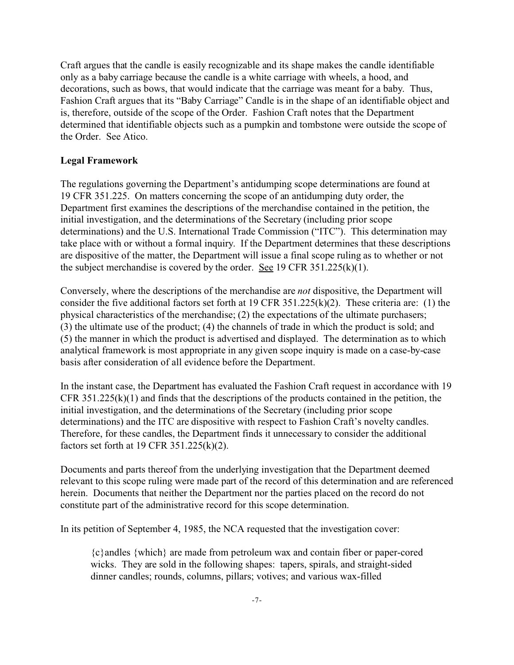Craft argues that the candle is easily recognizable and its shape makes the candle identifiable only as a baby carriage because the candle is a white carriage with wheels, a hood, and decorations, such as bows, that would indicate that the carriage was meant for a baby. Thus, Fashion Craft argues that its "Baby Carriage" Candle is in the shape of an identifiable object and is, therefore, outside of the scope of the Order. Fashion Craft notes that the Department determined that identifiable objects such as a pumpkin and tombstone were outside the scope of the Order. See Atico.

#### **Legal Framework**

The regulations governing the Department's antidumping scope determinations are found at 19 CFR 351.225. On matters concerning the scope of an antidumping duty order, the Department first examines the descriptions of the merchandise contained in the petition, the initial investigation, and the determinations of the Secretary (including prior scope determinations) and the U.S. International Trade Commission ("ITC"). This determination may take place with or without a formal inquiry. If the Department determines that these descriptions are dispositive of the matter, the Department will issue a final scope ruling as to whether or not the subject merchandise is covered by the order. See 19 CFR  $351.225(k)(1)$ .

Conversely, where the descriptions of the merchandise are *not* dispositive, the Department will consider the five additional factors set forth at 19 CFR 351.225(k)(2). These criteria are: (1) the physical characteristics of the merchandise; (2) the expectations of the ultimate purchasers; (3) the ultimate use of the product; (4) the channels of trade in which the product is sold; and (5) the manner in which the product is advertised and displayed. The determination as to which analytical framework is most appropriate in any given scope inquiry is made on a case-by-case basis after consideration of all evidence before the Department.

In the instant case, the Department has evaluated the Fashion Craft request in accordance with 19 CFR 351.225(k)(1) and finds that the descriptions of the products contained in the petition, the initial investigation, and the determinations of the Secretary (including prior scope determinations) and the ITC are dispositive with respect to Fashion Craft's novelty candles. Therefore, for these candles, the Department finds it unnecessary to consider the additional factors set forth at 19 CFR 351.225(k)(2).

Documents and parts thereof from the underlying investigation that the Department deemed relevant to this scope ruling were made part of the record of this determination and are referenced herein. Documents that neither the Department nor the parties placed on the record do not constitute part of the administrative record for this scope determination.

In its petition of September 4, 1985, the NCA requested that the investigation cover:

{c}andles {which} are made from petroleum wax and contain fiber or paper-cored wicks. They are sold in the following shapes: tapers, spirals, and straight-sided dinner candles; rounds, columns, pillars; votives; and various wax-filled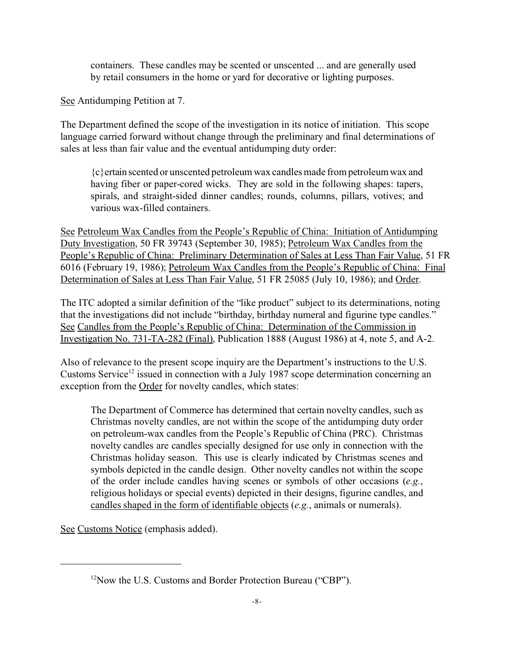containers. These candles may be scented or unscented ... and are generally used by retail consumers in the home or yard for decorative or lighting purposes.

See Antidumping Petition at 7.

The Department defined the scope of the investigation in its notice of initiation. This scope language carried forward without change through the preliminary and final determinations of sales at less than fair value and the eventual antidumping duty order:

{c}ertain scented or unscented petroleum wax candles made from petroleum wax and having fiber or paper-cored wicks. They are sold in the following shapes: tapers, spirals, and straight-sided dinner candles; rounds, columns, pillars, votives; and various wax-filled containers.

See Petroleum Wax Candles from the People's Republic of China: Initiation of Antidumping Duty Investigation, 50 FR 39743 (September 30, 1985); Petroleum Wax Candles from the People's Republic of China: Preliminary Determination of Sales at Less Than Fair Value, 51 FR 6016 (February 19, 1986); Petroleum Wax Candles from the People's Republic of China: Final Determination of Sales at Less Than Fair Value, 51 FR 25085 (July 10, 1986); and Order.

The ITC adopted a similar definition of the "like product" subject to its determinations, noting that the investigations did not include "birthday, birthday numeral and figurine type candles." See Candles from the People's Republic of China: Determination of the Commission in Investigation No. 731-TA-282 (Final), Publication 1888 (August 1986) at 4, note 5, and A-2.

Also of relevance to the present scope inquiry are the Department's instructions to the U.S. Customs Service<sup>12</sup> issued in connection with a July 1987 scope determination concerning an exception from the Order for novelty candles, which states:

The Department of Commerce has determined that certain novelty candles, such as Christmas novelty candles, are not within the scope of the antidumping duty order on petroleum-wax candles from the People's Republic of China (PRC). Christmas novelty candles are candles specially designed for use only in connection with the Christmas holiday season. This use is clearly indicated by Christmas scenes and symbols depicted in the candle design. Other novelty candles not within the scope of the order include candles having scenes or symbols of other occasions (*e.g.*, religious holidays or special events) depicted in their designs, figurine candles, and candles shaped in the form of identifiable objects (*e.g.*, animals or numerals).

See Customs Notice (emphasis added).

<sup>&</sup>lt;sup>12</sup>Now the U.S. Customs and Border Protection Bureau ("CBP").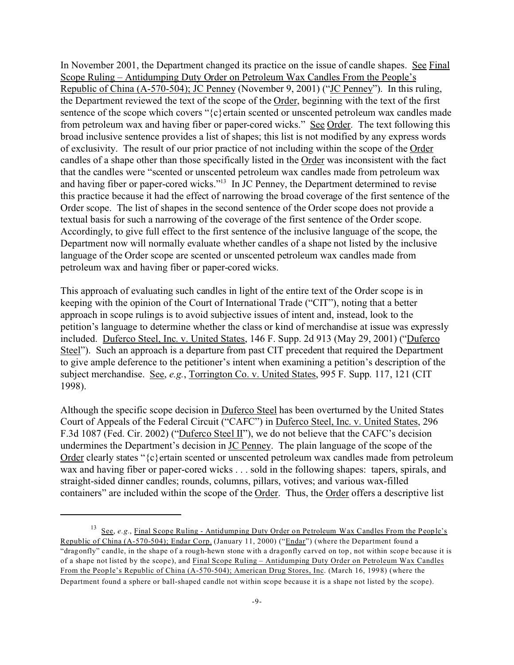In November 2001, the Department changed its practice on the issue of candle shapes. See Final Scope Ruling – Antidumping Duty Order on Petroleum Wax Candles From the People's Republic of China (A-570-504); JC Penney (November 9, 2001) ("JC Penney"). In this ruling, the Department reviewed the text of the scope of the Order, beginning with the text of the first sentence of the scope which covers "{c}ertain scented or unscented petroleum wax candles made from petroleum wax and having fiber or paper-cored wicks." See Order. The text following this broad inclusive sentence provides a list of shapes; this list is not modified by any express words of exclusivity. The result of our prior practice of not including within the scope of the Order candles of a shape other than those specifically listed in the Order was inconsistent with the fact that the candles were "scented or unscented petroleum wax candles made from petroleum wax and having fiber or paper-cored wicks."<sup>13</sup> In JC Penney, the Department determined to revise this practice because it had the effect of narrowing the broad coverage of the first sentence of the Order scope. The list of shapes in the second sentence of the Order scope does not provide a textual basis for such a narrowing of the coverage of the first sentence of the Order scope. Accordingly, to give full effect to the first sentence of the inclusive language of the scope, the Department now will normally evaluate whether candles of a shape not listed by the inclusive language of the Order scope are scented or unscented petroleum wax candles made from petroleum wax and having fiber or paper-cored wicks.

This approach of evaluating such candles in light of the entire text of the Order scope is in keeping with the opinion of the Court of International Trade ("CIT"), noting that a better approach in scope rulings is to avoid subjective issues of intent and, instead, look to the petition's language to determine whether the class or kind of merchandise at issue was expressly included. Duferco Steel, Inc. v. United States, 146 F. Supp. 2d 913 (May 29, 2001) ("Duferco Steel"). Such an approach is a departure from past CIT precedent that required the Department to give ample deference to the petitioner's intent when examining a petition's description of the subject merchandise. See, *e.g.*, Torrington Co. v. United States, 995 F. Supp. 117, 121 (CIT 1998).

Although the specific scope decision in Duferco Steel has been overturned by the United States Court of Appeals of the Federal Circuit ("CAFC") in Duferco Steel, Inc. v. United States, 296 F.3d 1087 (Fed. Cir. 2002) ("Duferco Steel II"), we do not believe that the CAFC's decision undermines the Department's decision in JC Penney. The plain language of the scope of the Order clearly states "{c}ertain scented or unscented petroleum wax candles made from petroleum wax and having fiber or paper-cored wicks . . . sold in the following shapes: tapers, spirals, and straight-sided dinner candles; rounds, columns, pillars, votives; and various wax-filled containers" are included within the scope of the Order. Thus, the Order offers a descriptive list

<sup>&</sup>lt;sup>13</sup> See, *e.g.*, Final Scope Ruling - Antidumping Duty Order on Petroleum Wax Candles From the People's Republic of China (A-570-504); Endar Corp. (January 11, 2000) ("Endar") (where the Department found a "dragonfly" candle, in the shape of a rough-hewn stone with a dragonfly carved on top, not within scope because it is of a shape not listed by the scope), and Final Scope Ruling – Antidumping Duty Order on Petroleum Wax Candles From the People's Republic of China (A-570-504); American Drug Stores, Inc. (March 16, 1998) (where the Department found a sphere or ball-shaped candle not within scope because it is a shape not listed by the scope).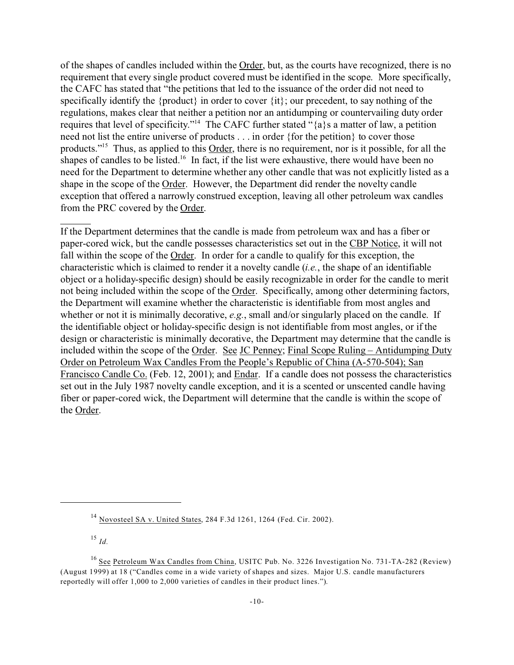of the shapes of candles included within the Order, but, as the courts have recognized, there is no requirement that every single product covered must be identified in the scope. More specifically, the CAFC has stated that "the petitions that led to the issuance of the order did not need to specifically identify the {product} in order to cover {it}; our precedent, to say nothing of the regulations, makes clear that neither a petition nor an antidumping or countervailing duty order requires that level of specificity."<sup>14</sup> The CAFC further stated "{a}s a matter of law, a petition need not list the entire universe of products . . . in order {for the petition} to cover those products."<sup>15</sup> Thus, as applied to this Order, there is no requirement, nor is it possible, for all the shapes of candles to be listed.<sup>16</sup> In fact, if the list were exhaustive, there would have been no need for the Department to determine whether any other candle that was not explicitly listed as a shape in the scope of the Order. However, the Department did render the novelty candle exception that offered a narrowly construed exception, leaving all other petroleum wax candles from the PRC covered by the Order.

If the Department determines that the candle is made from petroleum wax and has a fiber or paper-cored wick, but the candle possesses characteristics set out in the CBP Notice, it will not fall within the scope of the Order. In order for a candle to qualify for this exception, the characteristic which is claimed to render it a novelty candle (*i.e.*, the shape of an identifiable object or a holiday-specific design) should be easily recognizable in order for the candle to merit not being included within the scope of the Order. Specifically, among other determining factors, the Department will examine whether the characteristic is identifiable from most angles and whether or not it is minimally decorative, *e.g.*, small and/or singularly placed on the candle. If the identifiable object or holiday-specific design is not identifiable from most angles, or if the design or characteristic is minimally decorative, the Department may determine that the candle is included within the scope of the <u>Order. See JC Penney</u>; Final Scope Ruling – Antidumping Duty Order on Petroleum Wax Candles From the People's Republic of China (A-570-504); San Francisco Candle Co. (Feb. 12, 2001); and Endar. If a candle does not possess the characteristics set out in the July 1987 novelty candle exception, and it is a scented or unscented candle having fiber or paper-cored wick, the Department will determine that the candle is within the scope of the Order.

<sup>14</sup> Novosteel SA v. United States, 284 F.3d 1261, 1264 (Fed. Cir. 2002).

<sup>15</sup> *Id.*

<sup>&</sup>lt;sup>16</sup> See Petroleum Wax Candles from China, USITC Pub. No. 3226 Investigation No. 731-TA-282 (Review) (August 1999) at 18 ("Candles come in a wide variety of shapes and sizes. Major U.S. candle manufacturers reportedly will offer 1,000 to 2,000 varieties of candles in their product lines.").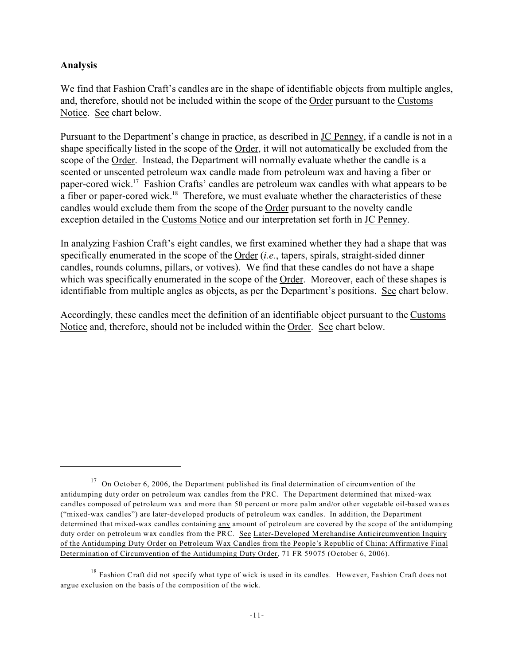### **Analysis**

We find that Fashion Craft's candles are in the shape of identifiable objects from multiple angles, and, therefore, should not be included within the scope of the Order pursuant to the Customs Notice. See chart below.

Pursuant to the Department's change in practice, as described in JC Penney, if a candle is not in a shape specifically listed in the scope of the Order, it will not automatically be excluded from the scope of the Order. Instead, the Department will normally evaluate whether the candle is a scented or unscented petroleum wax candle made from petroleum wax and having a fiber or paper-cored wick.<sup>17</sup> Fashion Crafts' candles are petroleum wax candles with what appears to be a fiber or paper-cored wick.<sup>18</sup> Therefore, we must evaluate whether the characteristics of these candles would exclude them from the scope of the Order pursuant to the novelty candle exception detailed in the Customs Notice and our interpretation set forth in JC Penney.

In analyzing Fashion Craft's eight candles, we first examined whether they had a shape that was specifically enumerated in the scope of the Order (*i.e.*, tapers, spirals, straight-sided dinner candles, rounds columns, pillars, or votives). We find that these candles do not have a shape which was specifically enumerated in the scope of the Order. Moreover, each of these shapes is identifiable from multiple angles as objects, as per the Department's positions. See chart below.

Accordingly, these candles meet the definition of an identifiable object pursuant to the Customs Notice and, therefore, should not be included within the Order. See chart below.

<sup>&</sup>lt;sup>17</sup> On October 6, 2006, the Department published its final determination of circumvention of the antidumping duty order on petroleum wax candles from the PRC. The Department determined that mixed-wax candles composed of petroleum wax and more than 50 percent or more palm and/or other vegetable oil-based waxes ("mixed-wax candles") are later-developed products of petroleum wax candles. In addition, the Department determined that mixed-wax candles containing any amount of petroleum are covered by the scope of the antidumping duty order on petroleum wax candles from the PRC. See Later-Developed Merchandise Anticircumvention Inquiry of the Antidumping Duty Order on Petroleum Wax Candles from the People's Republic of China: Affirmative Final Determination of Circumvention of the Antidumping Duty Order, 71 FR 59075 (October 6, 2006).

 $18$  Fashion Craft did not specify what type of wick is used in its candles. However, Fashion Craft does not argue exclusion on the basis of the composition of the wick.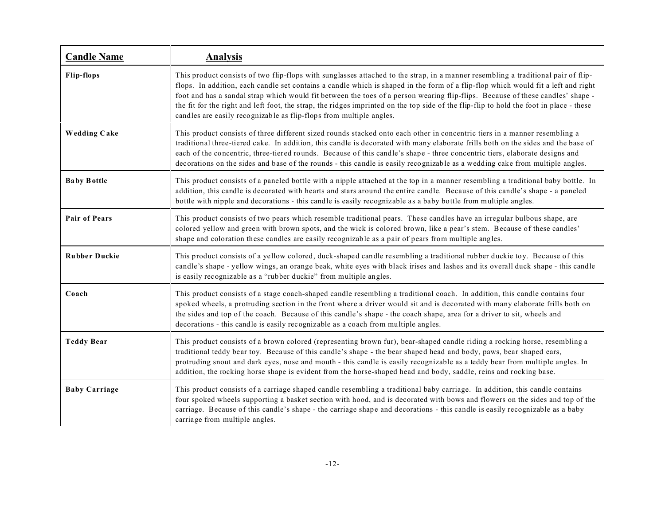| <b>Candle Name</b>   | <b>Analysis</b>                                                                                                                                                                                                                                                                                                                                                                                                                                                                                                                                                                                                            |
|----------------------|----------------------------------------------------------------------------------------------------------------------------------------------------------------------------------------------------------------------------------------------------------------------------------------------------------------------------------------------------------------------------------------------------------------------------------------------------------------------------------------------------------------------------------------------------------------------------------------------------------------------------|
| <b>Flip-flops</b>    | This product consists of two flip-flops with sunglasses attached to the strap, in a manner resembling a traditional pair of flip-<br>flops. In addition, each candle set contains a candle which is shaped in the form of a flip-flop which would fit a left and right<br>foot and has a sandal strap which would fit between the toes of a person wearing flip-flips. Because of these candles' shape -<br>the fit for the right and left foot, the strap, the ridges imprinted on the top side of the flip-flip to hold the foot in place - these<br>candles are easily recognizable as flip-flops from multiple angles. |
| <b>Wedding Cake</b>  | This product consists of three different sized rounds stacked onto each other in concentric tiers in a manner resembling a<br>traditional three-tiered cake. In addition, this candle is decorated with many elaborate frills both on the sides and the base of<br>each of the concentric, three-tiered rounds. Because of this candle's shape - three concentric tiers, elaborate designs and<br>decorations on the sides and base of the rounds - this candle is easily recognizable as a wedding cake from multiple angles.                                                                                             |
| <b>Baby Bottle</b>   | This product consists of a paneled bottle with a nipple attached at the top in a manner resembling a traditional baby bottle. In<br>addition, this candle is decorated with hearts and stars around the entire candle. Because of this candle's shape - a paneled<br>bottle with nipple and decorations - this candle is easily recognizable as a baby bottle from multiple angles.                                                                                                                                                                                                                                        |
| <b>Pair of Pears</b> | This product consists of two pears which resemble traditional pears. These candles have an irregular bulbous shape, are<br>colored yellow and green with brown spots, and the wick is colored brown, like a pear's stem. Because of these candles'<br>shape and coloration these candles are easily recognizable as a pair of pears from multiple angles.                                                                                                                                                                                                                                                                  |
| <b>Rubber Duckie</b> | This product consists of a yellow colored, duck-shaped candle resembling a traditional rubber duckie toy. Because of this<br>candle's shape - yellow wings, an orange beak, white eyes with black irises and lashes and its overall duck shape - this candle<br>is easily recognizable as a "rubber duckie" from multiple angles.                                                                                                                                                                                                                                                                                          |
| Coach                | This product consists of a stage coach-shaped candle resembling a traditional coach. In addition, this candle contains four<br>spoked wheels, a protruding section in the front where a driver would sit and is decorated with many elaborate frills both on<br>the sides and top of the coach. Because of this candle's shape - the coach shape, area for a driver to sit, wheels and<br>decorations - this candle is easily recognizable as a coach from multiple angles.                                                                                                                                                |
| <b>Teddy Bear</b>    | This product consists of a brown colored (representing brown fur), bear-shaped candle riding a rocking horse, resembling a<br>traditional teddy bear toy. Because of this candle's shape - the bear shaped head and body, paws, bear shaped ears,<br>protruding snout and dark eyes, nose and mouth - this candle is easily recognizable as a teddy bear from multiple angles. In<br>addition, the rocking horse shape is evident from the horse-shaped head and body, saddle, reins and rocking base.                                                                                                                     |
| <b>Baby Carriage</b> | This product consists of a carriage shaped candle resembling a traditional baby carriage. In addition, this candle contains<br>four spoked wheels supporting a basket section with hood, and is decorated with bows and flowers on the sides and top of the<br>carriage. Because of this candle's shape - the carriage shape and decorations - this candle is easily recognizable as a baby<br>carriage from multiple angles.                                                                                                                                                                                              |